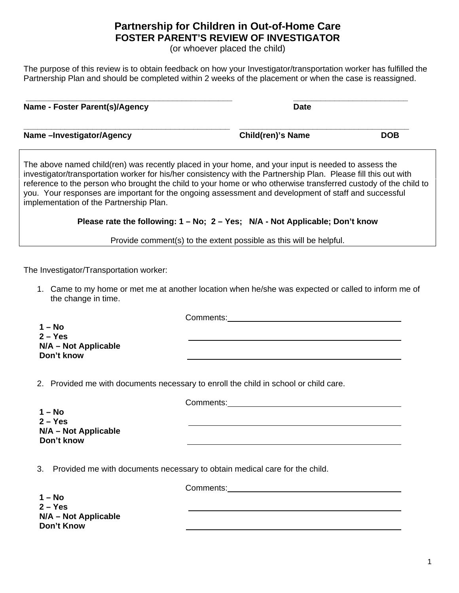## **Partnership for Children in Out-of-Home Care FOSTER PARENT'S REVIEW OF INVESTIGATOR**

(or whoever placed the child)

The purpose of this review is to obtain feedback on how your Investigator/transportation worker has fulfilled the Partnership Plan and should be completed within 2 weeks of the placement or when the case is reassigned.

| Name - Foster Parent(s)/Agency | <b>Date</b>              |            |
|--------------------------------|--------------------------|------------|
| Name-Investigator/Agency       | <b>Child(ren)'s Name</b> | <b>DOB</b> |

The above named child(ren) was recently placed in your home, and your input is needed to assess the investigator/transportation worker for his/her consistency with the Partnership Plan. Please fill this out with reference to the person who brought the child to your home or who otherwise transferred custody of the child to you. Your responses are important for the ongoing assessment and development of staff and successful implementation of the Partnership Plan.

## **Please rate the following: 1 – No; 2 – Yes; N/A - Not Applicable; Don't know**

Provide comment(s) to the extent possible as this will be helpful.

The Investigator/Transportation worker:

1. Came to my home or met me at another location when he/she was expected or called to inform me of the change in time.

Comments:

Comments:

Comments:

**1 – No 2 – Yes N/A – Not Applicable Don't know** 

2. Provided me with documents necessary to enroll the child in school or child care.

**1 – No 2 – Yes N/A – Not Applicable Don't know** 

3. Provided me with documents necessary to obtain medical care for the child.

**1 – No 2 – Yes N/A – Not Applicable Don't Know** 

1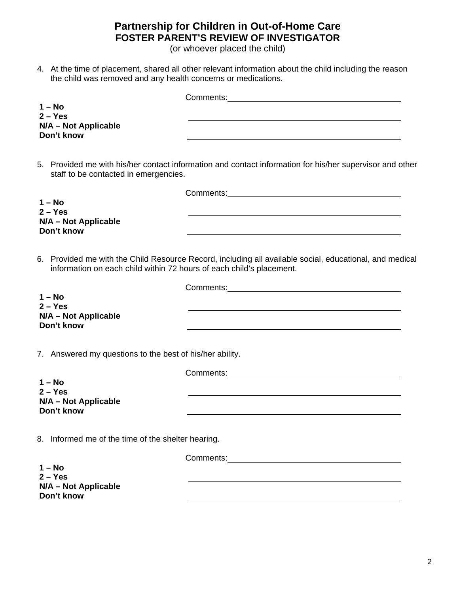## **Partnership for Children in Out-of-Home Care FOSTER PARENT'S REVIEW OF INVESTIGATOR**

(or whoever placed the child)

4. At the time of placement, shared all other relevant information about the child including the reason the child was removed and any health concerns or medications.

| $1 - No$                                                             |                                                                                                                                                                                                                                |
|----------------------------------------------------------------------|--------------------------------------------------------------------------------------------------------------------------------------------------------------------------------------------------------------------------------|
| $2 - Yes$<br>N/A - Not Applicable<br>Don't know                      |                                                                                                                                                                                                                                |
| staff to be contacted in emergencies.                                | 5. Provided me with his/her contact information and contact information for his/her supervisor and other                                                                                                                       |
| $1 - No$<br>$2 - Yes$<br>N/A - Not Applicable<br>Don't know          | Comments: 2008 Comments: 2008 Comments: 2008 Comments: 2008 Comments: 2008 Comments: 2008 Comments: 2008 Comments: 2008 Comments: 2008 Comments: 2008 Comments: 2008 Comments: 2008 Comments: 2008 Comments: 2008 Comments: 20 |
| information on each child within 72 hours of each child's placement. | 6. Provided me with the Child Resource Record, including all available social, educational, and medical                                                                                                                        |
| $1 - No$<br>$2 - Yes$<br>N/A - Not Applicable<br>Don't know          |                                                                                                                                                                                                                                |
| 7. Answered my questions to the best of his/her ability.             |                                                                                                                                                                                                                                |
| $1 - No$<br>$2 - Yes$<br>N/A - Not Applicable<br>Don't know          | Comments: Comments:                                                                                                                                                                                                            |
| 8. Informed me of the time of the shelter hearing.                   |                                                                                                                                                                                                                                |
| $1 - No$<br>$2 - Yes$<br>N/A - Not Applicable                        |                                                                                                                                                                                                                                |
| Don't know                                                           |                                                                                                                                                                                                                                |